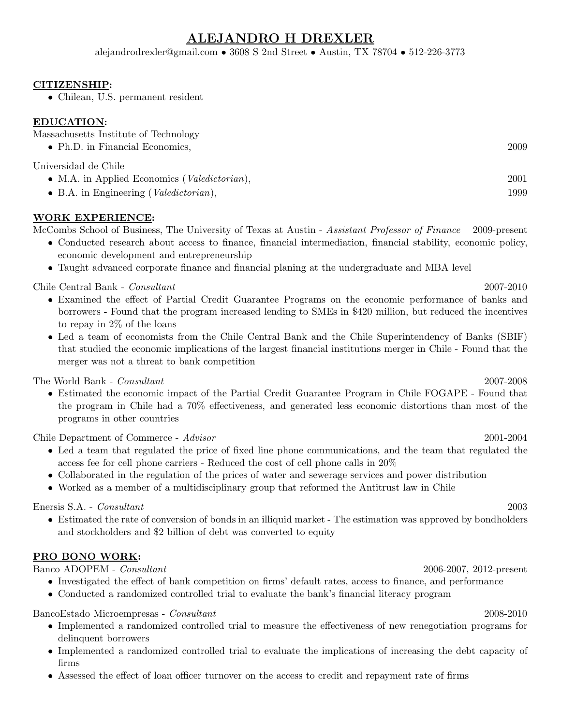# ALEJANDRO H DREXLER

alejandrodrexler@gmail.com • 3608 S 2nd Street • Austin, TX 78704 • 512-226-3773

### CITIZENSHIP:

• Chilean, U.S. permanent resident

### EDUCATION:

| Massachusetts Institute of Technology                                         |      |
|-------------------------------------------------------------------------------|------|
| $\bullet$ Ph.D. in Financial Economics,                                       | 2009 |
| Universidad de Chile<br>• M.A. in Applied Economics ( <i>Valedictorian</i> ), | 2001 |
|                                                                               |      |

• B.A. in Engineering (Valedictorian), 1999

### WORK EXPERIENCE:

McCombs School of Business, The University of Texas at Austin - Assistant Professor of Finance 2009-present

- Conducted research about access to finance, financial intermediation, financial stability, economic policy, economic development and entrepreneurship
- Taught advanced corporate finance and financial planing at the undergraduate and MBA level

Chile Central Bank - Consultant 2007-2010

- Examined the effect of Partial Credit Guarantee Programs on the economic performance of banks and borrowers - Found that the program increased lending to SMEs in \$420 million, but reduced the incentives to repay in 2% of the loans
- Led a team of economists from the Chile Central Bank and the Chile Superintendency of Banks (SBIF) that studied the economic implications of the largest financial institutions merger in Chile - Found that the merger was not a threat to bank competition

The World Bank - *Consultant* 2007-2008

• Estimated the economic impact of the Partial Credit Guarantee Program in Chile FOGAPE - Found that the program in Chile had a 70% effectiveness, and generated less economic distortions than most of the programs in other countries

Chile Department of Commerce - Advisor 2001-2004

- Led a team that regulated the price of fixed line phone communications, and the team that regulated the access fee for cell phone carriers - Reduced the cost of cell phone calls in 20%
- Collaborated in the regulation of the prices of water and sewerage services and power distribution
- Worked as a member of a multidisciplinary group that reformed the Antitrust law in Chile

Enersis S.A. - Consultant 2003

• Estimated the rate of conversion of bonds in an illiquid market - The estimation was approved by bondholders and stockholders and \$2 billion of debt was converted to equity

### PRO BONO WORK:

Banco ADOPEM - Consultant 2006-2007, 2012-present

- Investigated the effect of bank competition on firms' default rates, access to finance, and performance
- Conducted a randomized controlled trial to evaluate the bank's financial literacy program

BancoEstado Microempresas - Consultant 2008-2010

- Implemented a randomized controlled trial to measure the effectiveness of new renegotiation programs for delinquent borrowers
- Implemented a randomized controlled trial to evaluate the implications of increasing the debt capacity of firms
- Assessed the effect of loan officer turnover on the access to credit and repayment rate of firms